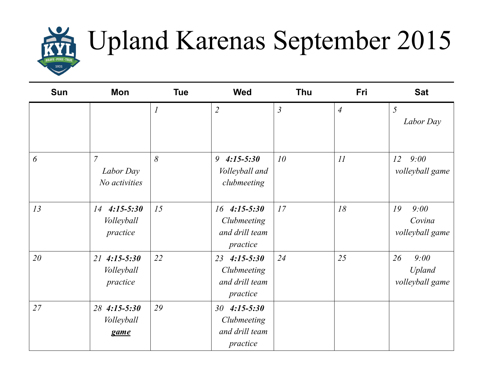

## Upland Karenas September 2015

| <b>Sun</b> | Mon                                           | <b>Tue</b>                  | <b>Wed</b>                                                       | Thu            | Fri            | <b>Sat</b>                                     |
|------------|-----------------------------------------------|-----------------------------|------------------------------------------------------------------|----------------|----------------|------------------------------------------------|
|            |                                               | $\mathcal{I}_{\mathcal{I}}$ | $\overline{2}$                                                   | $\mathfrak{Z}$ | $\overline{4}$ | 5<br>Labor Day                                 |
| 6          | $\overline{7}$<br>Labor Day<br>No activities  | 8                           | 9<br>$4:15 - 5:30$<br>Volleyball and<br>clubmeeting              | 10             | 11             | 12<br>9:00<br>volleyball game                  |
| 13         | 14<br>$4:15 - 5:30$<br>Volleyball<br>practice | 15                          | $16$ 4:15-5:30<br>Clubmeeting<br>and drill team<br>practice      | 17             | 18             | 19<br>9:00<br>Covina<br>volleyball game        |
| 20         | $21$ 4:15-5:30<br>Volleyball<br>practice      | 22                          | $4:15 - 5:30$<br>23<br>Clubmeeting<br>and drill team<br>practice | 24             | 25             | 26<br>9:00<br><b>Upland</b><br>volleyball game |
| 27         | 28 4:15-5:30<br>Volleyball<br>game            | 29                          | $4:15 - 5:30$<br>30<br>Clubmeeting<br>and drill team<br>practice |                |                |                                                |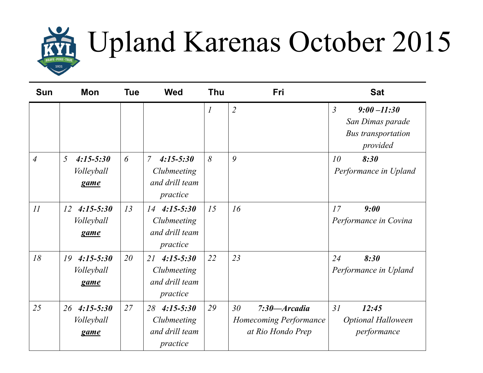

## Upland Karenas October 2015

| <b>Sun</b>     | <b>Mon</b>                                          | <b>Tue</b> | <b>Wed</b>                                                                   | <b>Thu</b>       | <b>Fri</b>                                                                         | <b>Sat</b>                                                                                    |
|----------------|-----------------------------------------------------|------------|------------------------------------------------------------------------------|------------------|------------------------------------------------------------------------------------|-----------------------------------------------------------------------------------------------|
|                |                                                     |            |                                                                              | $\boldsymbol{l}$ | $\overline{2}$                                                                     | $\overline{3}$<br>$9:00 - 11:30$<br>San Dimas parade<br><b>Bus transportation</b><br>provided |
| $\overline{4}$ | $\overline{5}$<br>$4:15-5:30$<br>Volleyball<br>game | 6          | $\overline{7}$<br>$4:15 - 5:30$<br>Clubmeeting<br>and drill team<br>practice | 8                | 9                                                                                  | 10<br>8:30<br>Performance in Upland                                                           |
| 11             | $4:15 - 5:30$<br>12<br>Volleyball<br>game           | 13         | $4:15-5:30$<br>14<br>Clubmeeting<br>and drill team<br>practice               | 15               | 16                                                                                 | 17<br>9:00<br>Performance in Covina                                                           |
| 18             | 19<br>$4:15 - 5:30$<br>Volleyball<br>game           | 20         | $4:15 - 5:30$<br>21<br>Clubmeeting<br>and drill team<br>practice             | 22               | 23                                                                                 | 24<br>8:30<br>Performance in Upland                                                           |
| 25             | 26<br>$4:15 - 5:30$<br>Volleyball<br>game           | 27         | 28<br>$4:15-5:30$<br>Clubmeeting<br>and drill team<br>practice               | 29               | 30 <sup>°</sup><br>$7:30 - Arcadia$<br>Homecoming Performance<br>at Rio Hondo Prep | 31<br>12:45<br><b>Optional Halloween</b><br>performance                                       |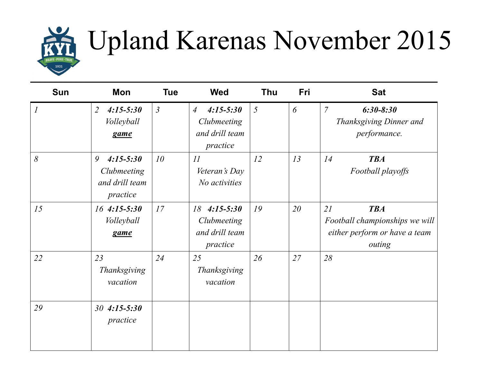

## Upland Karenas November 2015

| <b>Sun</b>       | Mon                                                             | <b>Tue</b>      | <b>Wed</b>                                                                   | <b>Thu</b> | Fri | <b>Sat</b>                                                                                    |
|------------------|-----------------------------------------------------------------|-----------------|------------------------------------------------------------------------------|------------|-----|-----------------------------------------------------------------------------------------------|
| $\boldsymbol{l}$ | $4:15 - 5:30$<br>$\overline{2}$<br>Volleyball<br>game           | $\mathfrak{Z}$  | $4:15 - 5:30$<br>$\overline{A}$<br>Clubmeeting<br>and drill team<br>practice | 5          | 6   | $\overline{7}$<br>$6:30 - 8:30$<br>Thanksgiving Dinner and<br>performance.                    |
| 8                | $4:15 - 5:30$<br>9<br>Clubmeeting<br>and drill team<br>practice | 10 <sup>°</sup> | $\overline{11}$<br>Veteran's Day<br>No activities                            | 12         | 13  | <b>TBA</b><br>14<br>Football playoffs                                                         |
| 15               | $16$ 4:15-5:30<br>Volleyball<br>game                            | 17              | $4:15 - 5:30$<br>18<br>Clubmeeting<br>and drill team<br>practice             | 19         | 20  | 21<br><b>TBA</b><br>Football championships we will<br>either perform or have a team<br>outing |
| 22               | 23<br>Thanksgiving<br>vacation                                  | 24              | 25<br>Thanksgiving<br>vacation                                               | 26         | 27  | 28                                                                                            |
| 29               | $4:15 - 5:30$<br>30 <sup>°</sup><br>practice                    |                 |                                                                              |            |     |                                                                                               |